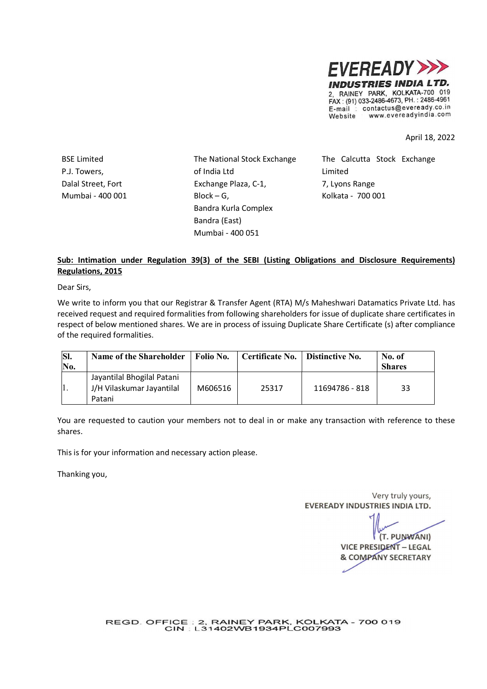

April 18, 2022

P.J. Towers, Dalal Street, Fort Mumbai - 400 001

BSE Limited The National Stock Exchange of India Ltd Exchange Plaza, C-1,  $Block - G$ , Bandra Kurla Complex Bandra (East) Mumbai - 400 051

The Calcutta Stock Exchange Limited 7, Lyons Range Kolkata - 700 001

## Sub: Intimation under Regulation 39(3) of the SEBI (Listing Obligations and Disclosure Requirements) Regulations, 2015

Dear Sirs,

We write to inform you that our Registrar & Transfer Agent (RTA) M/s Maheshwari Datamatics Private Ltd. has received request and required formalities from following shareholders for issue of duplicate share certificates in respect of below mentioned shares. We are in process of issuing Duplicate Share Certificate (s) after compliance of the required formalities.

| SI.<br>$\mathbf{N}$ o. | Name of the Shareholder                                           | Folio No. | Certificate No. | Distinctive No. | No. of<br><b>Shares</b> |
|------------------------|-------------------------------------------------------------------|-----------|-----------------|-----------------|-------------------------|
|                        | Jayantilal Bhogilal Patani<br>J/H Vilaskumar Jayantilal<br>Patani | M606516   | 25317           | 11694786 - 818  | 33                      |

You are requested to caution your members not to deal in or make any transaction with reference to these shares.

This is for your information and necessary action please.

Thanking you,

Very truly yours, **EVEREADY INDUSTRIES INDIA LTD.** 

(T. PUNWANI) **VICE PRESIDENT - LEGAL & COMPANY SECRETARY** 

REGD. OFFICE : 2, RAINEY PARK, KOLKATA - 700 019<br>CIN : L31402WB1934PLC007993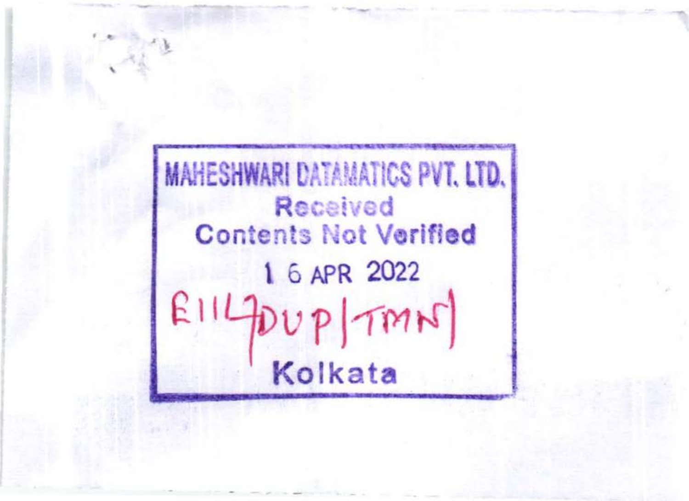**MAHESHWARI DATAMATICS PVT. LTD. Received Contents Not Verified** 1 6 APR 2022  $E114DUP |TMN$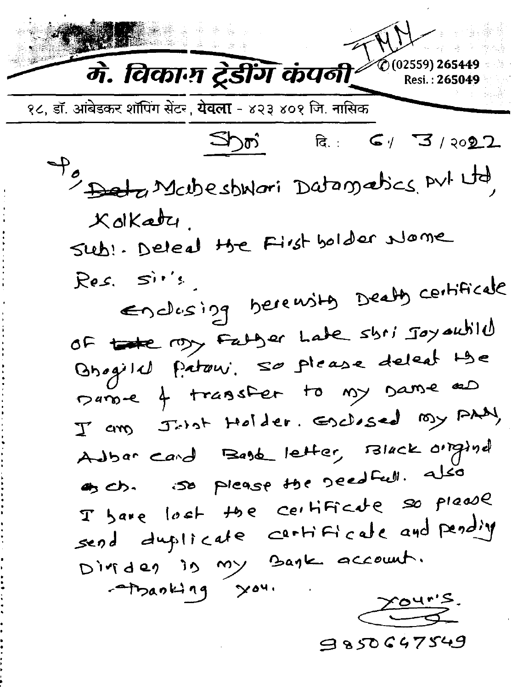